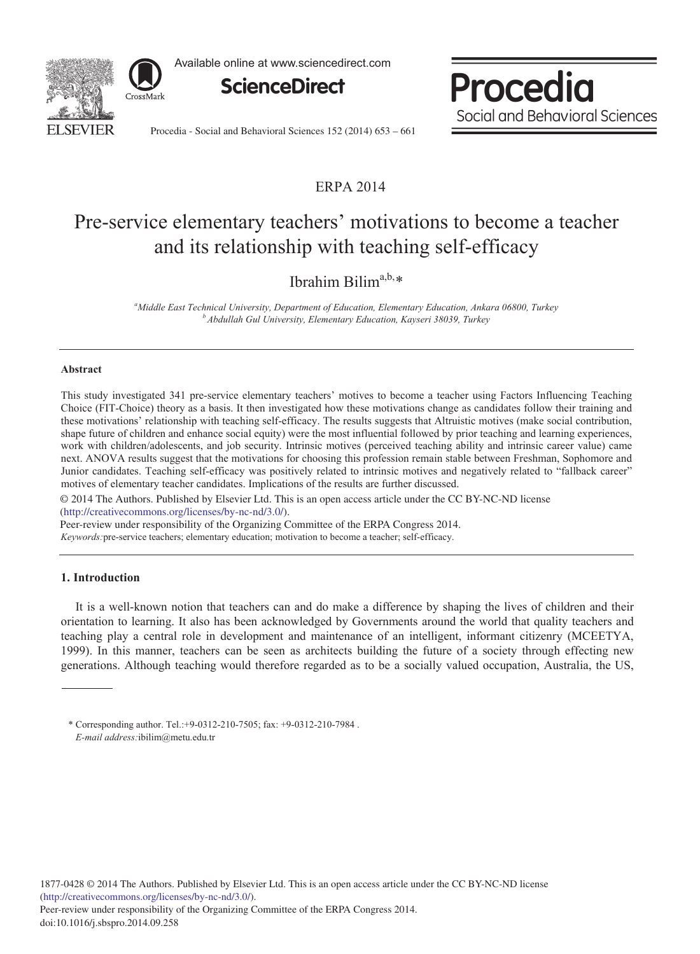

Available online at www.sciencedirect.com



Procedia Social and Behavioral Sciences

Procedia - Social and Behavioral Sciences 152 (2014) 653 – 661

# ERPA 2014

# Pre-service elementary teachers' motivations to become a teacher and its relationship with teaching self-efficacy

# Ibrahim Bilim $a,b,*$

*a Middle East Technical University, Department of Education, Elementary Education, Ankara 06800, Turkey <sup>b</sup> Abdullah Gul University, Elementary Education, Kayseri 38039, Turkey*

#### **Abstract**

This study investigated 341 pre-service elementary teachers' motives to become a teacher using Factors Influencing Teaching Choice (FIT-Choice) theory as a basis. It then investigated how these motivations change as candidates follow their training and these motivations' relationship with teaching self-efficacy. The results suggests that Altruistic motives (make social contribution, shape future of children and enhance social equity) were the most influential followed by prior teaching and learning experiences, work with children/adolescents, and job security. Intrinsic motives (perceived teaching ability and intrinsic career value) came next. ANOVA results suggest that the motivations for choosing this profession remain stable between Freshman, Sophomore and Junior candidates. Teaching self-efficacy was positively related to intrinsic motives and negatively related to "fallback career" motives of elementary teacher candidates. Implications of the results are further discussed.

© 2014 The Authors. Published by Elsevier Ltd. © 2014 The Authors. Published by Elsevier Ltd. This is an open access article under the CC BY-NC-ND license (http://creativecommons.org/licenses/by-nc-nd/3.0/).

*Keywords:*pre-service teachers; elementary education; motivation to become a teacher; self-efficacy. Peer-review under responsibility of the Organizing Committee of the ERPA Congress 2014.

# **1. Introduction**

It is a well-known notion that teachers can and do make a difference by shaping the lives of children and their orientation to learning. It also has been acknowledged by Governments around the world that quality teachers and teaching play a central role in development and maintenance of an intelligent, informant citizenry (MCEETYA, 1999). In this manner, teachers can be seen as architects building the future of a society through effecting new generations. Although teaching would therefore regarded as to be a socially valued occupation, Australia, the US,

<sup>\*</sup> Corresponding author. Tel.:+9-0312-210-7505; fax: +9-0312-210-7984 . *E-mail address:*ibilim@metu.edu.tr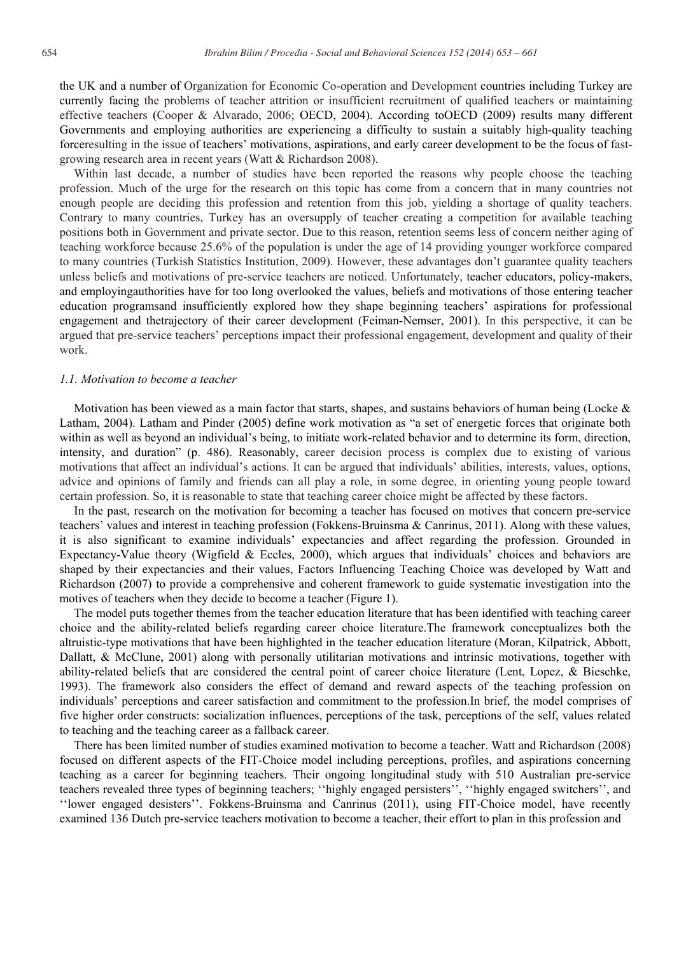the UK and a number of Organization for Economic Co-operation and Development countries including Turkey are currently facing the problems of teacher attrition or insufficient recruitment of qualified teachers or maintaining effective teachers (Cooper & Alvarado, 2006; OECD, 2004). According toOECD (2009) results many different Governments and employing authorities are experiencing a difficulty to sustain a suitably high-quality teaching forceresulting in the issue of teachers' motivations, aspirations, and early career development to be the focus of fastgrowing research area in recent years (Watt & Richardson 2008).

Within last decade, a number of studies have been reported the reasons why people choose the teaching profession. Much of the urge for the research on this topic has come from a concern that in many countries not enough people are deciding this profession and retention from this job, yielding a shortage of quality teachers. Contrary to many countries, Turkey has an oversupply of teacher creating a competition for available teaching positions both in Government and private sector. Due to this reason, retention seems less of concern neither aging of teaching workforce because 25.6% of the population is under the age of 14 providing younger workforce compared to many countries (Turkish Statistics Institution, 2009). However, these advantages don't guarantee quality teachers unless beliefs and motivations of pre-service teachers are noticed. Unfortunately, teacher educators, policy-makers, and employingauthorities have for too long overlooked the values, beliefs and motivations of those entering teacher education programsand insufficiently explored how they shape beginning teachers' aspirations for professional engagement and thetrajectory of their career development (Feiman-Nemser, 2001). In this perspective, it can be argued that pre-service teachers' perceptions impact their professional engagement, development and quality of their work.

## *1.1. Motivation to become a teacher*

Motivation has been viewed as a main factor that starts, shapes, and sustains behaviors of human being (Locke  $\&$ Latham, 2004). Latham and Pinder (2005) define work motivation as "a set of energetic forces that originate both within as well as beyond an individual's being, to initiate work-related behavior and to determine its form, direction, intensity, and duration" (p. 486). Reasonably, career decision process is complex due to existing of various motivations that affect an individual's actions. It can be argued that individuals' abilities, interests, values, options, advice and opinions of family and friends can all play a role, in some degree, in orienting young people toward certain profession. So, it is reasonable to state that teaching career choice might be affected by these factors.

In the past, research on the motivation for becoming a teacher has focused on motives that concern pre-service teachers' values and interest in teaching profession (Fokkens-Bruinsma & Canrinus, 2011). Along with these values, it is also significant to examine individuals' expectancies and affect regarding the profession. Grounded in Expectancy-Value theory (Wigfield & Eccles, 2000), which argues that individuals' choices and behaviors are shaped by their expectancies and their values, Factors Influencing Teaching Choice was developed by Watt and Richardson (2007) to provide a comprehensive and coherent framework to guide systematic investigation into the motives of teachers when they decide to become a teacher (Figure 1).

The model puts together themes from the teacher education literature that has been identified with teaching career choice and the ability-related beliefs regarding career choice literature.The framework conceptualizes both the altruistic-type motivations that have been highlighted in the teacher education literature (Moran, Kilpatrick, Abbott, Dallatt, & McClune, 2001) along with personally utilitarian motivations and intrinsic motivations, together with ability-related beliefs that are considered the central point of career choice literature (Lent, Lopez, & Bieschke, 1993). The framework also considers the effect of demand and reward aspects of the teaching profession on individuals' perceptions and career satisfaction and commitment to the profession.In brief, the model comprises of five higher order constructs: socialization influences, perceptions of the task, perceptions of the self, values related to teaching and the teaching career as a fallback career.

There has been limited number of studies examined motivation to become a teacher. Watt and Richardson (2008) focused on different aspects of the FIT-Choice model including perceptions, profiles, and aspirations concerning teaching as a career for beginning teachers. Their ongoing longitudinal study with 510 Australian pre-service teachers revealed three types of beginning teachers; ''highly engaged persisters'', ''highly engaged switchers'', and ''lower engaged desisters''. Fokkens-Bruinsma and Canrinus (2011), using FIT-Choice model, have recently examined 136 Dutch pre-service teachers motivation to become a teacher, their effort to plan in this profession and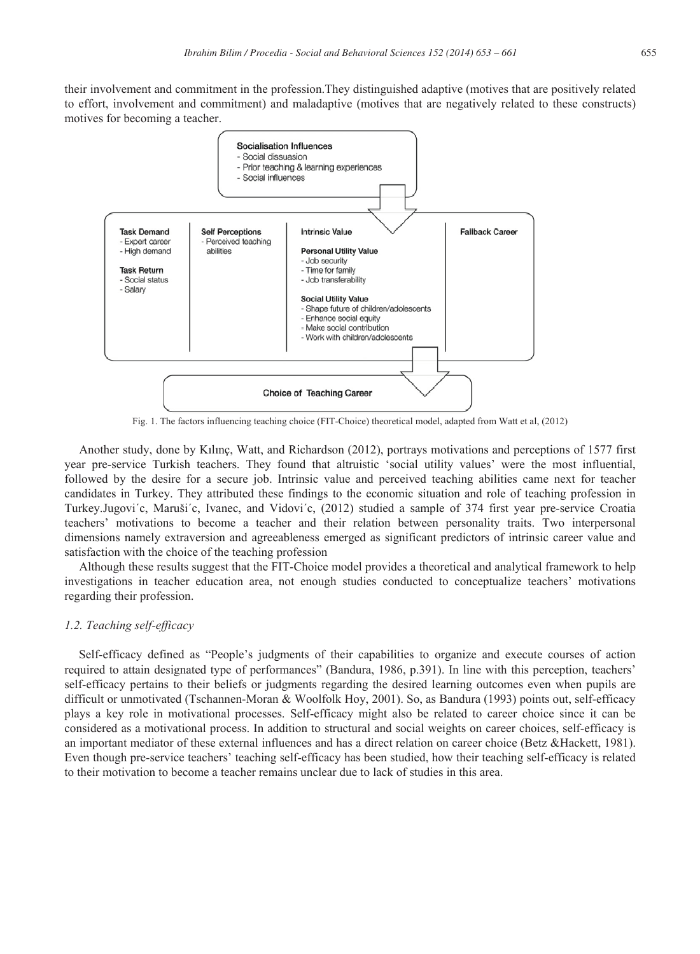their involvement and commitment in the profession.They distinguished adaptive (motives that are positively related to effort, involvement and commitment) and maladaptive (motives that are negatively related to these constructs) motives for becoming a teacher.



Fig. 1. The factors influencing teaching choice (FIT-Choice) theoretical model, adapted from Watt et al, (2012)

Another study, done by Kılınç, Watt, and Richardson (2012), portrays motivations and perceptions of 1577 first year pre-service Turkish teachers. They found that altruistic 'social utility values' were the most influential, followed by the desire for a secure job. Intrinsic value and perceived teaching abilities came next for teacher candidates in Turkey. They attributed these findings to the economic situation and role of teaching profession in Turkey.Jugovi´c, Maruši´c, Ivanec, and Vidovi´c, (2012) studied a sample of 374 first year pre-service Croatia teachers' motivations to become a teacher and their relation between personality traits. Two interpersonal dimensions namely extraversion and agreeableness emerged as significant predictors of intrinsic career value and satisfaction with the choice of the teaching profession

Although these results suggest that the FIT-Choice model provides a theoretical and analytical framework to help investigations in teacher education area, not enough studies conducted to conceptualize teachers' motivations regarding their profession.

# *1.2. Teaching self-efficacy*

Self-efficacy defined as "People's judgments of their capabilities to organize and execute courses of action required to attain designated type of performances" (Bandura, 1986, p.391). In line with this perception, teachers' self-efficacy pertains to their beliefs or judgments regarding the desired learning outcomes even when pupils are difficult or unmotivated (Tschannen-Moran & Woolfolk Hoy, 2001). So, as Bandura (1993) points out, self-efficacy plays a key role in motivational processes. Self-efficacy might also be related to career choice since it can be considered as a motivational process. In addition to structural and social weights on career choices, self-efficacy is an important mediator of these external influences and has a direct relation on career choice (Betz &Hackett, 1981). Even though pre-service teachers' teaching self-efficacy has been studied, how their teaching self-efficacy is related to their motivation to become a teacher remains unclear due to lack of studies in this area.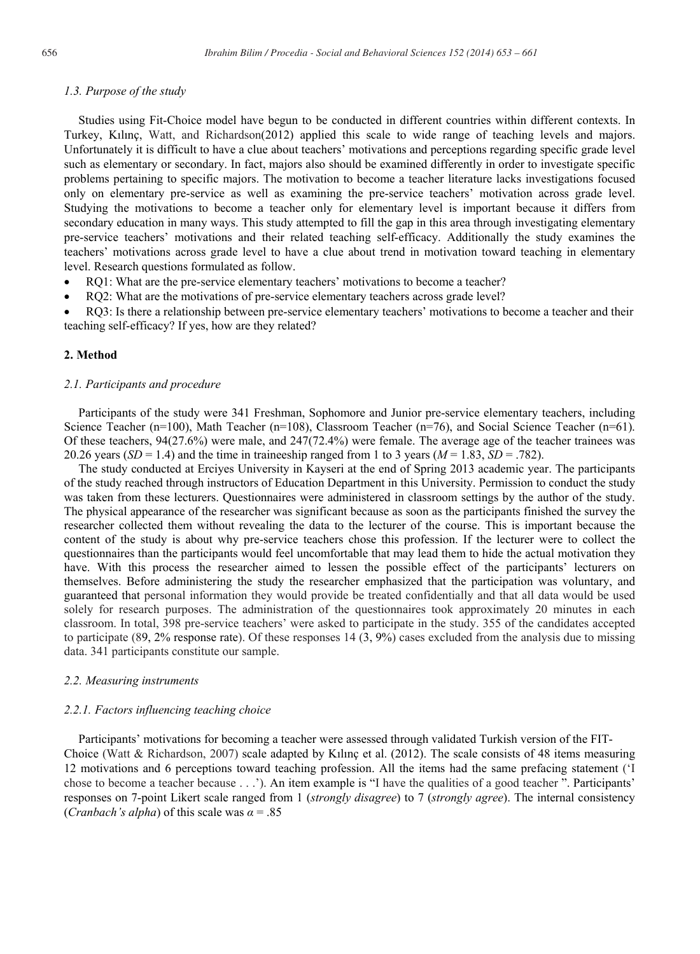#### *1.3. Purpose of the study*

Studies using Fit-Choice model have begun to be conducted in different countries within different contexts. In Turkey, Kılınç, Watt, and Richardson(2012) applied this scale to wide range of teaching levels and majors. Unfortunately it is difficult to have a clue about teachers' motivations and perceptions regarding specific grade level such as elementary or secondary. In fact, majors also should be examined differently in order to investigate specific problems pertaining to specific majors. The motivation to become a teacher literature lacks investigations focused only on elementary pre-service as well as examining the pre-service teachers' motivation across grade level. Studying the motivations to become a teacher only for elementary level is important because it differs from secondary education in many ways. This study attempted to fill the gap in this area through investigating elementary pre-service teachers' motivations and their related teaching self-efficacy. Additionally the study examines the teachers' motivations across grade level to have a clue about trend in motivation toward teaching in elementary level. Research questions formulated as follow.

- RO1: What are the pre-service elementary teachers' motivations to become a teacher?
- RQ2: What are the motivations of pre-service elementary teachers across grade level?

RO3: Is there a relationship between pre-service elementary teachers' motivations to become a teacher and their teaching self-efficacy? If yes, how are they related?

#### **2. Method**

#### *2.1. Participants and procedure*

Participants of the study were 341 Freshman, Sophomore and Junior pre-service elementary teachers, including Science Teacher (n=100), Math Teacher (n=108), Classroom Teacher (n=76), and Social Science Teacher (n=61). Of these teachers, 94(27.6%) were male, and 247(72.4%) were female. The average age of the teacher trainees was 20.26 years  $(SD = 1.4)$  and the time in traineeship ranged from 1 to 3 years  $(M = 1.83, SD = .782)$ .

The study conducted at Erciyes University in Kayseri at the end of Spring 2013 academic year. The participants of the study reached through instructors of Education Department in this University. Permission to conduct the study was taken from these lecturers. Questionnaires were administered in classroom settings by the author of the study. The physical appearance of the researcher was significant because as soon as the participants finished the survey the researcher collected them without revealing the data to the lecturer of the course. This is important because the content of the study is about why pre-service teachers chose this profession. If the lecturer were to collect the questionnaires than the participants would feel uncomfortable that may lead them to hide the actual motivation they have. With this process the researcher aimed to lessen the possible effect of the participants' lecturers on themselves. Before administering the study the researcher emphasized that the participation was voluntary, and guaranteed that personal information they would provide be treated confidentially and that all data would be used solely for research purposes. The administration of the questionnaires took approximately 20 minutes in each classroom. In total, 398 pre-service teachers' were asked to participate in the study. 355 of the candidates accepted to participate  $(89, 2\%$  response rate). Of these responses  $14$   $(3, 9\%)$  cases excluded from the analysis due to missing data. 341 participants constitute our sample.

# *2.2. Measuring instruments*

#### *2.2.1. Factors influencing teaching choice*

Participants' motivations for becoming a teacher were assessed through validated Turkish version of the FIT-Choice (Watt & Richardson, 2007) scale adapted by Kılınç et al. (2012). The scale consists of 48 items measuring 12 motivations and 6 perceptions toward teaching profession. All the items had the same prefacing statement ('I chose to become a teacher because . . .'). An item example is "I have the qualities of a good teacher ". Participants' responses on 7-point Likert scale ranged from 1 (*strongly disagree*) to 7 (*strongly agree*). The internal consistency (*Cranbach's alpha*) of this scale was  $\alpha = .85$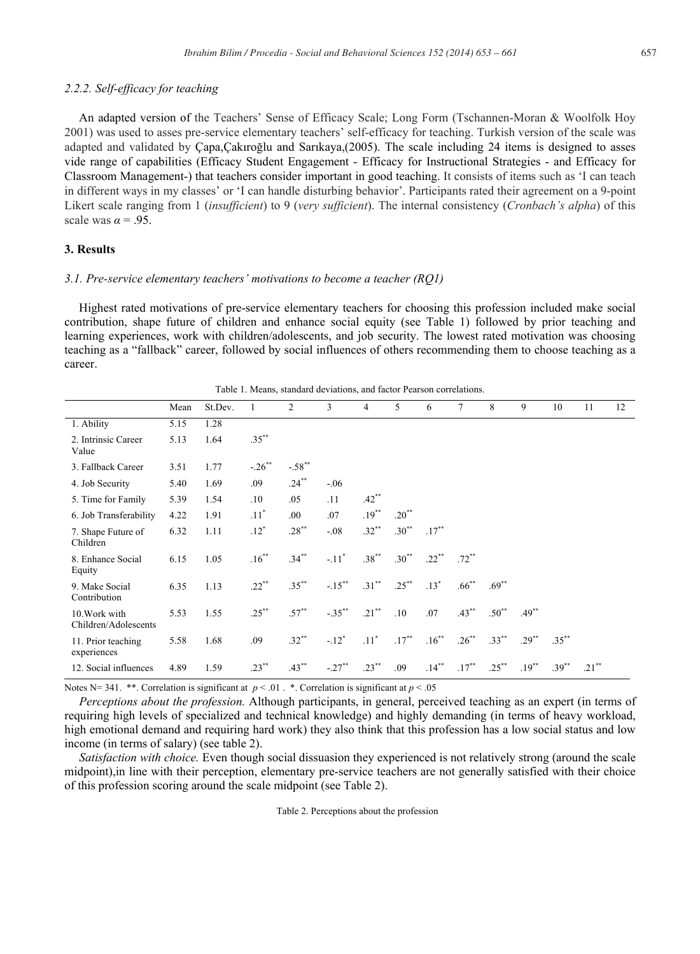An adapted version of the Teachers' Sense of Efficacy Scale; Long Form (Tschannen-Moran & Woolfolk Hoy 2001) was used to asses pre-service elementary teachers' self-efficacy for teaching. Turkish version of the scale was adapted and validated by Çapa,Çakıroğlu and Sarıkaya,(2005). The scale including 24 items is designed to asses vide range of capabilities (Efficacy Student Engagement - Efficacy for Instructional Strategies - and Efficacy for Classroom Management-) that teachers consider important in good teaching. It consists of items such as 'I can teach in different ways in my classes' or 'I can handle disturbing behavior'. Participants rated their agreement on a 9-point Likert scale ranging from 1 (*insufficient*) to 9 (*very sufficient*). The internal consistency (*Cronbach's alpha*) of this scale was  $q = 95$ .

# **3. Results**

# *3.1. Pre-service elementary teachers' motivations to become a teacher (RQ1)*

Highest rated motivations of pre-service elementary teachers for choosing this profession included make social contribution, shape future of children and enhance social equity (see Table 1) followed by prior teaching and learning experiences, work with children/adolescents, and job security. The lowest rated motivation was choosing teaching as a "fallback" career, followed by social influences of others recommending them to choose teaching as a career.

|                                       | Mean | St.Dev. | $\overline{1}$ | 2                    | $\overline{3}$      | $\overline{4}$ | 5        | 6        | $7\phantom{.0}$ | 8        | 9        | 10       | 11       | 12 |
|---------------------------------------|------|---------|----------------|----------------------|---------------------|----------------|----------|----------|-----------------|----------|----------|----------|----------|----|
| 1. Ability                            | 5.15 | 1.28    |                |                      |                     |                |          |          |                 |          |          |          |          |    |
| 2. Intrinsic Career<br>Value          | 5.13 | 1.64    | $.35***$       |                      |                     |                |          |          |                 |          |          |          |          |    |
| 3. Fallback Career                    | 3.51 | 1.77    | $-.26$ **      | $-.58$ <sup>**</sup> |                     |                |          |          |                 |          |          |          |          |    |
| 4. Job Security                       | 5.40 | 1.69    | .09            | $.24***$             | $-.06$              |                |          |          |                 |          |          |          |          |    |
| 5. Time for Family                    | 5.39 | 1.54    | .10            | .05                  | .11                 | $.42***$       |          |          |                 |          |          |          |          |    |
| 6. Job Transferability                | 4.22 | 1.91    | $.11^*$        | .00                  | .07                 | $.19***$       | $.20**$  |          |                 |          |          |          |          |    |
| 7. Shape Future of<br>Children        | 6.32 | 1.11    | $.12*$         | $.28***$             | $-.08$              | $.32***$       | $.30**$  | $.17***$ |                 |          |          |          |          |    |
| 8. Enhance Social<br>Equity           | 6.15 | 1.05    | $.16***$       | $.34***$             | $-.11$ <sup>*</sup> | $.38***$       | $.30**$  | $.22***$ | $.72***$        |          |          |          |          |    |
| 9. Make Social<br>Contribution        | 6.35 | 1.13    | $.22***$       | $.35***$             | $-.15***$           | $.31***$       | $.25***$ | $.13*$   | $.66***$        | $.69**$  |          |          |          |    |
| 10. Work with<br>Children/Adolescents | 5.53 | 1.55    | $.25***$       | $.57***$             | $-.35***$           | $.21***$       | .10      | .07      | $.43***$        | $.50**$  | $.49**$  |          |          |    |
| 11. Prior teaching<br>experiences     | 5.58 | 1.68    | .09            | $.32***$             | $-12$ <sup>*</sup>  | $.11^*$        | $.17***$ | $.16***$ | $.26***$        | $.33***$ | $.29***$ | $.35***$ |          |    |
| 12. Social influences                 | 4.89 | 1.59    | $.23***$       | $.43***$             | $-.27***$           | $.23***$       | .09      | $.14***$ | $.17***$        | $.25***$ | $.19***$ | $.39***$ | $.21***$ |    |

Table 1. Means, standard deviations, and factor Pearson correlations.

Notes N= 341. \*\*. Correlation is significant at  $p < 0.01$ . \*. Correlation is significant at  $p < 0.05$ 

*Perceptions about the profession.* Although participants, in general, perceived teaching as an expert (in terms of requiring high levels of specialized and technical knowledge) and highly demanding (in terms of heavy workload, high emotional demand and requiring hard work) they also think that this profession has a low social status and low income (in terms of salary) (see table 2).

*Satisfaction with choice.* Even though social dissuasion they experienced is not relatively strong (around the scale midpoint),in line with their perception, elementary pre-service teachers are not generally satisfied with their choice of this profession scoring around the scale midpoint (see Table 2).

Table 2. Perceptions about the profession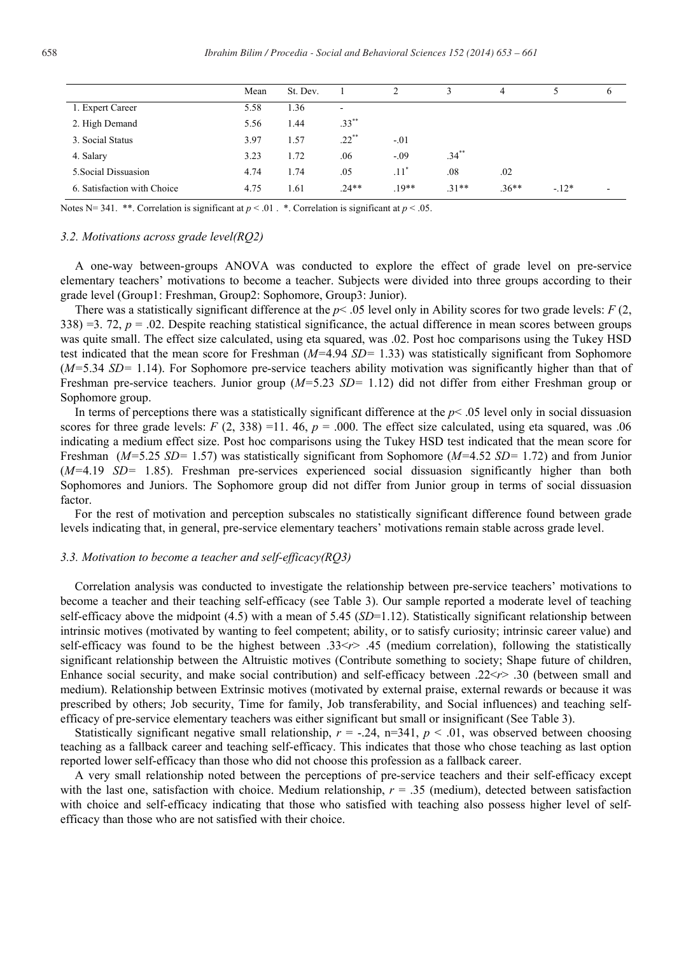|                             | Mean | St. Dev. |                          | C       | 3        | 4       |        | 6 |
|-----------------------------|------|----------|--------------------------|---------|----------|---------|--------|---|
| 1. Expert Career            | 5.58 | 1.36     | $\overline{\phantom{a}}$ |         |          |         |        |   |
| 2. High Demand              | 5.56 | 1.44     | $.33***$                 |         |          |         |        |   |
| 3. Social Status            | 3.97 | 1.57     | $.22$ <sup>**</sup>      | $-.01$  |          |         |        |   |
| 4. Salary                   | 3.23 | 1.72     | .06                      | $-0.09$ | $.34***$ |         |        |   |
| 5. Social Dissuasion        | 4.74 | 1.74     | .05                      | $.11^*$ | .08      | .02     |        |   |
| 6. Satisfaction with Choice | 4.75 | 1.61     | $.24**$                  | $19**$  | $.31**$  | $.36**$ | $-12*$ | - |

Notes N= 341. \*\*. Correlation is significant at  $p < 0.01$ . \*. Correlation is significant at  $p < 0.05$ .

#### *3.2. Motivations across grade level(RQ2)*

A one-way between-groups ANOVA was conducted to explore the effect of grade level on pre-service elementary teachers' motivations to become a teacher. Subjects were divided into three groups according to their grade level (Group1: Freshman, Group2: Sophomore, Group3: Junior).

There was a statistically significant difference at the  $p$ < .05 level only in Ability scores for two grade levels:  $F(2)$ ,  $338$ ) =3. 72,  $p = .02$ . Despite reaching statistical significance, the actual difference in mean scores between groups was quite small. The effect size calculated, using eta squared, was .02. Post hoc comparisons using the Tukey HSD test indicated that the mean score for Freshman (*M=*4.94 *SD=* 1.33) was statistically significant from Sophomore (*M=*5.34 *SD=* 1.14). For Sophomore pre-service teachers ability motivation was significantly higher than that of Freshman pre-service teachers. Junior group (*M=*5.23 *SD=* 1.12) did not differ from either Freshman group or Sophomore group.

In terms of perceptions there was a statistically significant difference at the  $p$ < .05 level only in social dissuasion scores for three grade levels:  $F(2, 338) = 11.46$ ,  $p = .000$ . The effect size calculated, using eta squared, was .06 indicating a medium effect size. Post hoc comparisons using the Tukey HSD test indicated that the mean score for Freshman (*M=*5.25 *SD=* 1.57) was statistically significant from Sophomore (*M=*4.52 *SD=* 1.72) and from Junior (*M=*4.19 *SD=* 1.85). Freshman pre-services experienced social dissuasion significantly higher than both Sophomores and Juniors. The Sophomore group did not differ from Junior group in terms of social dissuasion factor.

For the rest of motivation and perception subscales no statistically significant difference found between grade levels indicating that, in general, pre-service elementary teachers' motivations remain stable across grade level.

## *3.3. Motivation to become a teacher and self-efficacy(RQ3)*

Correlation analysis was conducted to investigate the relationship between pre-service teachers' motivations to become a teacher and their teaching self-efficacy (see Table 3). Our sample reported a moderate level of teaching self-efficacy above the midpoint (4.5) with a mean of 5.45 (*SD*=1.12). Statistically significant relationship between intrinsic motives (motivated by wanting to feel competent; ability, or to satisfy curiosity; intrinsic career value) and self-efficacy was found to be the highest between .33< $r$ > .45 (medium correlation), following the statistically significant relationship between the Altruistic motives (Contribute something to society; Shape future of children, Enhance social security, and make social contribution) and self-efficacy between .22<*r*> .30 (between small and medium). Relationship between Extrinsic motives (motivated by external praise, external rewards or because it was prescribed by others; Job security, Time for family, Job transferability, and Social influences) and teaching selfefficacy of pre-service elementary teachers was either significant but small or insignificant (See Table 3).

Statistically significant negative small relationship,  $r = -.24$ ,  $n=341$ ,  $p < .01$ , was observed between choosing teaching as a fallback career and teaching self-efficacy. This indicates that those who chose teaching as last option reported lower self-efficacy than those who did not choose this profession as a fallback career.

A very small relationship noted between the perceptions of pre-service teachers and their self-efficacy except with the last one, satisfaction with choice. Medium relationship,  $r = 0.35$  (medium), detected between satisfaction with choice and self-efficacy indicating that those who satisfied with teaching also possess higher level of selfefficacy than those who are not satisfied with their choice.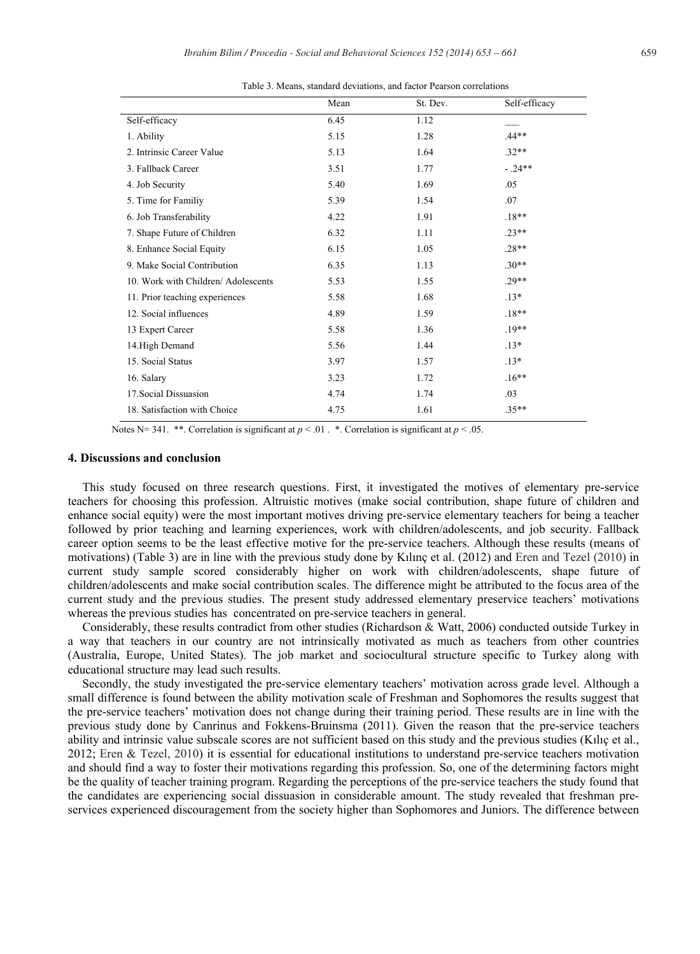|                                    | Mean | St. Dev. | Self-efficacy |
|------------------------------------|------|----------|---------------|
| Self-efficacy                      | 6.45 | 1.12     |               |
| 1. Ability                         | 5.15 | 1.28     | $.44**$       |
| 2. Intrinsic Career Value          | 5.13 | 1.64     | $.32**$       |
| 3. Fallback Career                 | 3.51 | 1.77     | $-.24**$      |
| 4. Job Security                    | 5.40 | 1.69     | .05           |
| 5. Time for Familiy                | 5.39 | 1.54     | .07           |
| 6. Job Transferability             | 4.22 | 1.91     | $.18**$       |
| 7. Shape Future of Children        | 6.32 | 1.11     | $23**$        |
| 8. Enhance Social Equity           | 6.15 | 1.05     | $.28**$       |
| 9. Make Social Contribution        | 6.35 | 1.13     | $.30**$       |
| 10. Work with Children/Adolescents | 5.53 | 1.55     | $.29**$       |
| 11. Prior teaching experiences     | 5.58 | 1.68     | $.13*$        |
| 12. Social influences              | 4.89 | 1.59     | $.18**$       |
| 13 Expert Career                   | 5.58 | 1.36     | $.19**$       |
| 14. High Demand                    | 5.56 | 1.44     | $.13*$        |
| 15. Social Status                  | 3.97 | 1.57     | $.13*$        |
| 16. Salary                         | 3.23 | 1.72     | $.16***$      |
| 17. Social Dissuasion              | 4.74 | 1.74     | .03           |

Table 3. Means, standard deviations, and factor Pearson correlations

Notes N= 341. \*\*. Correlation is significant at  $p < 0.01$ . \*. Correlation is significant at  $p < 0.05$ .

18. Satisfaction with Choice  $4.75$  1.61 .35\*\*

#### **4. Discussions and conclusion**

This study focused on three research questions. First, it investigated the motives of elementary pre-service teachers for choosing this profession. Altruistic motives (make social contribution, shape future of children and enhance social equity) were the most important motives driving pre-service elementary teachers for being a teacher followed by prior teaching and learning experiences, work with children/adolescents, and job security. Fallback career option seems to be the least effective motive for the pre-service teachers. Although these results (means of motivations) (Table 3) are in line with the previous study done by Kiling et al. (2012) and Eren and Tezel (2010) in current study sample scored considerably higher on work with children/adolescents, shape future of children/adolescents and make social contribution scales. The difference might be attributed to the focus area of the current study and the previous studies. The present study addressed elementary preservice teachers' motivations whereas the previous studies has concentrated on pre-service teachers in general.

Considerably, these results contradict from other studies (Richardson & Watt, 2006) conducted outside Turkey in a way that teachers in our country are not intrinsically motivated as much as teachers from other countries (Australia, Europe, United States). The job market and sociocultural structure specific to Turkey along with educational structure may lead such results.

Secondly, the study investigated the pre-service elementary teachers' motivation across grade level. Although a small difference is found between the ability motivation scale of Freshman and Sophomores the results suggest that the pre-service teachers' motivation does not change during their training period. These results are in line with the previous study done by Canrinus and Fokkens-Bruinsma (2011). Given the reason that the pre-service teachers ability and intrinsic value subscale scores are not sufficient based on this study and the previous studies (Kilic et al., 2012; Eren & Tezel, 2010) it is essential for educational institutions to understand pre-service teachers motivation and should find a way to foster their motivations regarding this profession. So, one of the determining factors might be the quality of teacher training program. Regarding the perceptions of the pre-service teachers the study found that the candidates are experiencing social dissuasion in considerable amount. The study revealed that freshman preservices experienced discouragement from the society higher than Sophomores and Juniors. The difference between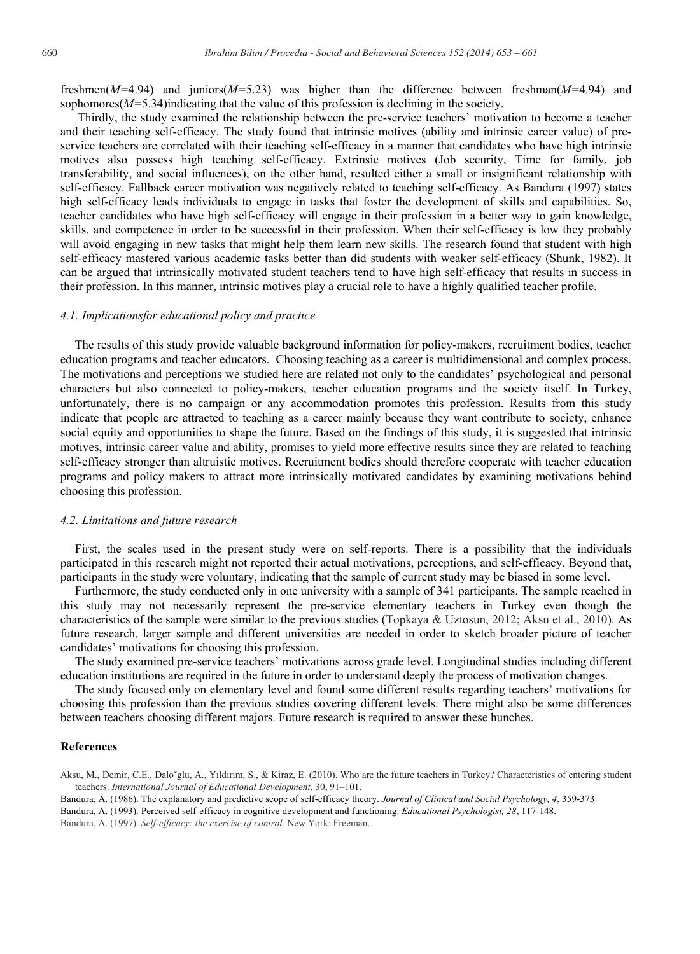freshmen(*M=*4.94) and juniors(*M=*5.23) was higher than the difference between freshman(*M=*4.94) and sophomores( $M=5.34$ )indicating that the value of this profession is declining in the society.

Thirdly, the study examined the relationship between the pre-service teachers' motivation to become a teacher and their teaching self-efficacy. The study found that intrinsic motives (ability and intrinsic career value) of preservice teachers are correlated with their teaching self-efficacy in a manner that candidates who have high intrinsic motives also possess high teaching self-efficacy. Extrinsic motives (Job security, Time for family, job transferability, and social influences), on the other hand, resulted either a small or insignificant relationship with self-efficacy. Fallback career motivation was negatively related to teaching self-efficacy. As Bandura (1997) states high self-efficacy leads individuals to engage in tasks that foster the development of skills and capabilities. So, teacher candidates who have high self-efficacy will engage in their profession in a better way to gain knowledge, skills, and competence in order to be successful in their profession. When their self-efficacy is low they probably will avoid engaging in new tasks that might help them learn new skills. The research found that student with high self-efficacy mastered various academic tasks better than did students with weaker self-efficacy (Shunk, 1982). It can be argued that intrinsically motivated student teachers tend to have high self-efficacy that results in success in their profession. In this manner, intrinsic motives play a crucial role to have a highly qualified teacher profile.

### *4.1. Implicationsfor educational policy and practice*

The results of this study provide valuable background information for policy-makers, recruitment bodies, teacher education programs and teacher educators. Choosing teaching as a career is multidimensional and complex process. The motivations and perceptions we studied here are related not only to the candidates' psychological and personal characters but also connected to policy-makers, teacher education programs and the society itself. In Turkey, unfortunately, there is no campaign or any accommodation promotes this profession. Results from this study indicate that people are attracted to teaching as a career mainly because they want contribute to society, enhance social equity and opportunities to shape the future. Based on the findings of this study, it is suggested that intrinsic motives, intrinsic career value and ability, promises to yield more effective results since they are related to teaching self-efficacy stronger than altruistic motives. Recruitment bodies should therefore cooperate with teacher education programs and policy makers to attract more intrinsically motivated candidates by examining motivations behind choosing this profession.

#### *4.2. Limitations and future research*

First, the scales used in the present study were on self-reports. There is a possibility that the individuals participated in this research might not reported their actual motivations, perceptions, and self-efficacy. Beyond that, participants in the study were voluntary, indicating that the sample of current study may be biased in some level.

Furthermore, the study conducted only in one university with a sample of 341 participants. The sample reached in this study may not necessarily represent the pre-service elementary teachers in Turkey even though the characteristics of the sample were similar to the previous studies (Topkaya & Uztosun, 2012; Aksu et al., 2010). As future research, larger sample and different universities are needed in order to sketch broader picture of teacher candidates' motivations for choosing this profession.

The study examined pre-service teachers' motivations across grade level. Longitudinal studies including different education institutions are required in the future in order to understand deeply the process of motivation changes.

The study focused only on elementary level and found some different results regarding teachers' motivations for choosing this profession than the previous studies covering different levels. There might also be some differences between teachers choosing different majors. Future research is required to answer these hunches.

#### **References**

Bandura, A. (1993). Perceived self-efficacy in cognitive development and functioning. *Educational Psychologist, 28*, 117-148.

Bandura, A. (1997). *Self-efficacy: the exercise of control.* New York: Freeman.

Aksu, M., Demir, C.E., Dalo'glu, A., Yıldırım, S., & Kiraz, E. (2010). Who are the future teachers in Turkey? Characteristics of entering student teachers. *International Journal of Educational Development*, 30, 91–101.

Bandura, A. (1986). The explanatory and predictive scope of self-efficacy theory. *Journal of Clinical and Social Psychology, 4*, 359-373